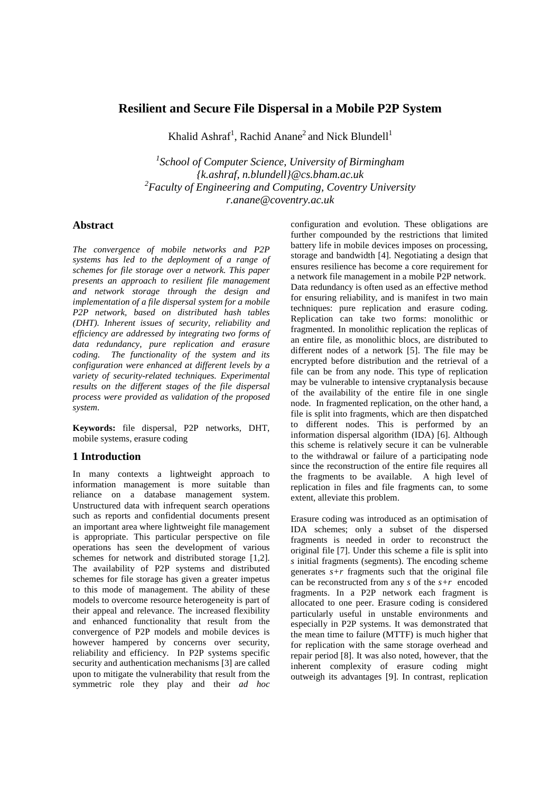# **Resilient and Secure File Dispersal in a Mobile P2P System**

Khalid Ashraf<sup>1</sup>, Rachid Anane<sup>2</sup> and Nick Blundell<sup>1</sup>

*1 School of Computer Science, University of Birmingham {k.ashraf, n.blundell}@cs.bham.ac.uk 2 Faculty of Engineering and Computing, Coventry University r.anane@coventry.ac.uk* 

# **Abstract**

*The convergence of mobile networks and P2P systems has led to the deployment of a range of schemes for file storage over a network. This paper presents an approach to resilient file management and network storage through the design and implementation of a file dispersal system for a mobile P2P network, based on distributed hash tables (DHT). Inherent issues of security, reliability and efficiency are addressed by integrating two forms of data redundancy, pure replication and erasure coding. The functionality of the system and its configuration were enhanced at different levels by a variety of security-related techniques. Experimental results on the different stages of the file dispersal process were provided as validation of the proposed system*.

**Keywords:** file dispersal, P2P networks, DHT, mobile systems, erasure coding

# **1 Introduction**

In many contexts a lightweight approach to information management is more suitable than reliance on a database management system. Unstructured data with infrequent search operations such as reports and confidential documents present an important area where lightweight file management is appropriate. This particular perspective on file operations has seen the development of various schemes for network and distributed storage [1,2]. The availability of P2P systems and distributed schemes for file storage has given a greater impetus to this mode of management. The ability of these models to overcome resource heterogeneity is part of their appeal and relevance. The increased flexibility and enhanced functionality that result from the convergence of P2P models and mobile devices is however hampered by concerns over security, reliability and efficiency. In P2P systems specific security and authentication mechanisms [3] are called upon to mitigate the vulnerability that result from the symmetric role they play and their *ad hoc*

configuration and evolution. These obligations are further compounded by the restrictions that limited battery life in mobile devices imposes on processing, storage and bandwidth [4]. Negotiating a design that ensures resilience has become a core requirement for a network file management in a mobile P2P network. Data redundancy is often used as an effective method for ensuring reliability, and is manifest in two main techniques: pure replication and erasure coding. Replication can take two forms: monolithic or fragmented. In monolithic replication the replicas of an entire file, as monolithic blocs, are distributed to different nodes of a network [5]. The file may be encrypted before distribution and the retrieval of a file can be from any node. This type of replication may be vulnerable to intensive cryptanalysis because of the availability of the entire file in one single node. In fragmented replication, on the other hand, a file is split into fragments, which are then dispatched to different nodes. This is performed by an information dispersal algorithm (IDA) [6]. Although this scheme is relatively secure it can be vulnerable to the withdrawal or failure of a participating node since the reconstruction of the entire file requires all the fragments to be available. A high level of replication in files and file fragments can, to some extent, alleviate this problem.

Erasure coding was introduced as an optimisation of IDA schemes; only a subset of the dispersed fragments is needed in order to reconstruct the original file [7]. Under this scheme a file is split into *s* initial fragments (segments). The encoding scheme generates  $s+r$  fragments such that the original file can be reconstructed from any *s* of the *s+r* encoded fragments. In a P2P network each fragment is allocated to one peer. Erasure coding is considered particularly useful in unstable environments and especially in P2P systems. It was demonstrated that the mean time to failure (MTTF) is much higher that for replication with the same storage overhead and repair period [8]. It was also noted, however, that the inherent complexity of erasure coding might outweigh its advantages [9]. In contrast, replication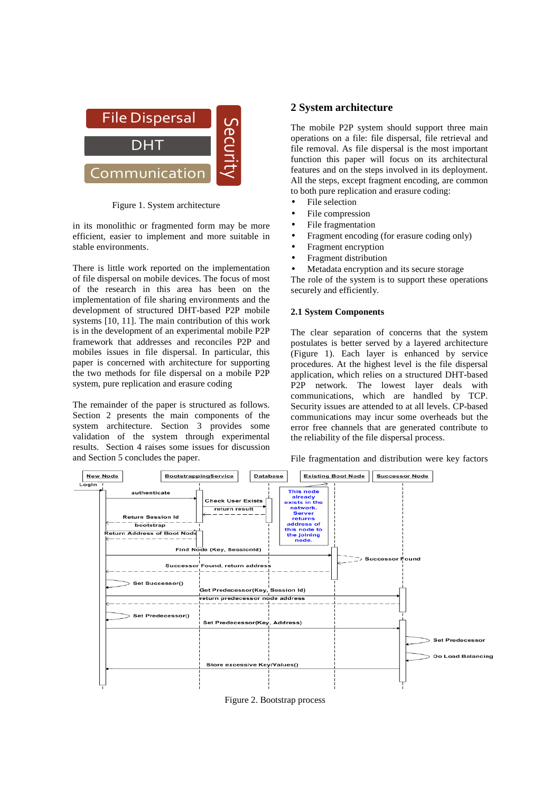

Figure 1. System architecture

in its monolithic or fragmented form may be more efficient, easier to implement and more suitable in stable environments.

There is little work reported on the implementation of file dispersal on mobile devices. The focus of most of the research in this area has been on the implementation of file sharing environments and the development of structured DHT-based P2P mobile systems [10, 11]. The main contribution of this work is in the development of an experimental mobile P2P framework that addresses and reconciles P2P and mobiles issues in file dispersal. In particular, this paper is concerned with architecture for supporting the two methods for file dispersal on a mobile P2P system, pure replication and erasure coding

The remainder of the paper is structured as follows. Section 2 presents the main components of the system architecture. Section 3 provides some validation of the system through experimental results. Section 4 raises some issues for discussion and Section 5 concludes the paper.

# **2 System architecture**

The mobile P2P system should support three main operations on a file: file dispersal, file retrieval and file removal. As file dispersal is the most important function this paper will focus on its architectural features and on the steps involved in its deployment. All the steps, except fragment encoding, are common to both pure replication and erasure coding:

- File selection
- File compression
- File fragmentation
- Fragment encoding (for erasure coding only)
- Fragment encryption
- Fragment distribution
- Metadata encryption and its secure storage

The role of the system is to support these operations securely and efficiently.

# **2.1 System Components**

The clear separation of concerns that the system postulates is better served by a layered architecture (Figure 1). Each layer is enhanced by service procedures. At the highest level is the file dispersal application, which relies on a structured DHT-based P2P network. The lowest layer deals with communications, which are handled by TCP. Security issues are attended to at all levels. CP-based communications may incur some overheads but the error free channels that are generated contribute to the reliability of the file dispersal process.

File fragmentation and distribution were key factors



Figure 2. Bootstrap process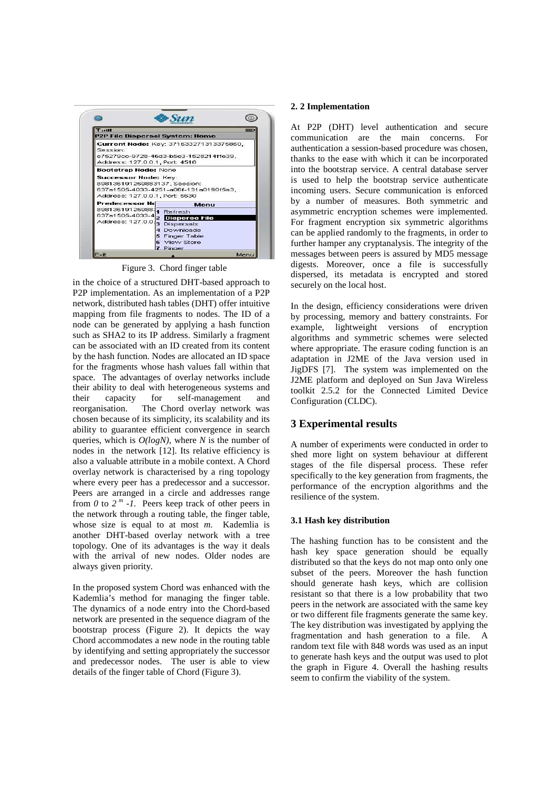| P2P File Dispersal System: Home<br>Current Node: Key: 371633271313375860,<br>e75279cc-9728-46d3-b5e3-1528214ffe39,<br>Address: 127.0.0.1, Port: 4518<br><b>Bootstrap Node: None</b><br>Successor Node: Key:<br>898136191259883137, Session:<br>637a1505-4033-4251-a06f-131a0190f5a3,<br>Address: 127.0.0.1, Port: 5630<br>Menu<br>8981361912598834<br>Refresh<br>637a1505-4033-42<br><b>Disperse File</b><br>Address: 127.0.0<br><b>Dispersals</b><br>4 Downloads<br>5 Finger Table<br>6 View Store<br>7 Pinger<br>Menu | $F \sim H$            |  |
|-------------------------------------------------------------------------------------------------------------------------------------------------------------------------------------------------------------------------------------------------------------------------------------------------------------------------------------------------------------------------------------------------------------------------------------------------------------------------------------------------------------------------|-----------------------|--|
|                                                                                                                                                                                                                                                                                                                                                                                                                                                                                                                         |                       |  |
|                                                                                                                                                                                                                                                                                                                                                                                                                                                                                                                         | Session:              |  |
|                                                                                                                                                                                                                                                                                                                                                                                                                                                                                                                         |                       |  |
|                                                                                                                                                                                                                                                                                                                                                                                                                                                                                                                         |                       |  |
|                                                                                                                                                                                                                                                                                                                                                                                                                                                                                                                         | <b>Predecessor Nd</b> |  |
|                                                                                                                                                                                                                                                                                                                                                                                                                                                                                                                         |                       |  |
|                                                                                                                                                                                                                                                                                                                                                                                                                                                                                                                         |                       |  |
|                                                                                                                                                                                                                                                                                                                                                                                                                                                                                                                         |                       |  |
|                                                                                                                                                                                                                                                                                                                                                                                                                                                                                                                         |                       |  |
|                                                                                                                                                                                                                                                                                                                                                                                                                                                                                                                         |                       |  |
|                                                                                                                                                                                                                                                                                                                                                                                                                                                                                                                         |                       |  |
|                                                                                                                                                                                                                                                                                                                                                                                                                                                                                                                         | Exit                  |  |

Figure 3. Chord finger table

in the choice of a structured DHT-based approach to P2P implementation. As an implementation of a P2P network, distributed hash tables (DHT) offer intuitive mapping from file fragments to nodes. The ID of a node can be generated by applying a hash function such as SHA2 to its IP address. Similarly a fragment can be associated with an ID created from its content by the hash function. Nodes are allocated an ID space for the fragments whose hash values fall within that space. The advantages of overlay networks include their ability to deal with heterogeneous systems and their capacity for self-management and reorganisation. The Chord overlay network was chosen because of its simplicity, its scalability and its ability to guarantee efficient convergence in search queries, which is *O(logN),* where *N* is the number of nodes in the network [12]. Its relative efficiency is also a valuable attribute in a mobile context. A Chord overlay network is characterised by a ring topology where every peer has a predecessor and a successor. Peers are arranged in a circle and addresses range from  $0$  to  $2^m$  -1. Peers keep track of other peers in the network through a routing table, the finger table, whose size is equal to at most *m*. Kademlia is another DHT-based overlay network with a tree topology. One of its advantages is the way it deals with the arrival of new nodes. Older nodes are always given priority.

In the proposed system Chord was enhanced with the Kademlia's method for managing the finger table. The dynamics of a node entry into the Chord-based network are presented in the sequence diagram of the bootstrap process (Figure 2). It depicts the way Chord accommodates a new node in the routing table by identifying and setting appropriately the successor and predecessor nodes. The user is able to view details of the finger table of Chord (Figure 3).

### **2. 2 Implementation**

At P2P (DHT) level authentication and secure communication are the main concerns. For authentication a session-based procedure was chosen, thanks to the ease with which it can be incorporated into the bootstrap service. A central database server is used to help the bootstrap service authenticate incoming users. Secure communication is enforced by a number of measures. Both symmetric and asymmetric encryption schemes were implemented. For fragment encryption six symmetric algorithms can be applied randomly to the fragments, in order to further hamper any cryptanalysis. The integrity of the messages between peers is assured by MD5 message digests. Moreover, once a file is successfully dispersed, its metadata is encrypted and stored securely on the local host.

In the design, efficiency considerations were driven by processing, memory and battery constraints. For example, lightweight versions of encryption algorithms and symmetric schemes were selected where appropriate. The erasure coding function is an adaptation in J2ME of the Java version used in JigDFS [7]. The system was implemented on the J2ME platform and deployed on Sun Java Wireless toolkit 2.5.2 for the Connected Limited Device Configuration (CLDC).

# **3 Experimental results**

A number of experiments were conducted in order to shed more light on system behaviour at different stages of the file dispersal process. These refer specifically to the key generation from fragments, the performance of the encryption algorithms and the resilience of the system.

# **3.1 Hash key distribution**

The hashing function has to be consistent and the hash key space generation should be equally distributed so that the keys do not map onto only one subset of the peers. Moreover the hash function should generate hash keys, which are collision resistant so that there is a low probability that two peers in the network are associated with the same key or two different file fragments generate the same key. The key distribution was investigated by applying the fragmentation and hash generation to a file. A random text file with 848 words was used as an input to generate hash keys and the output was used to plot the graph in Figure 4. Overall the hashing results seem to confirm the viability of the system.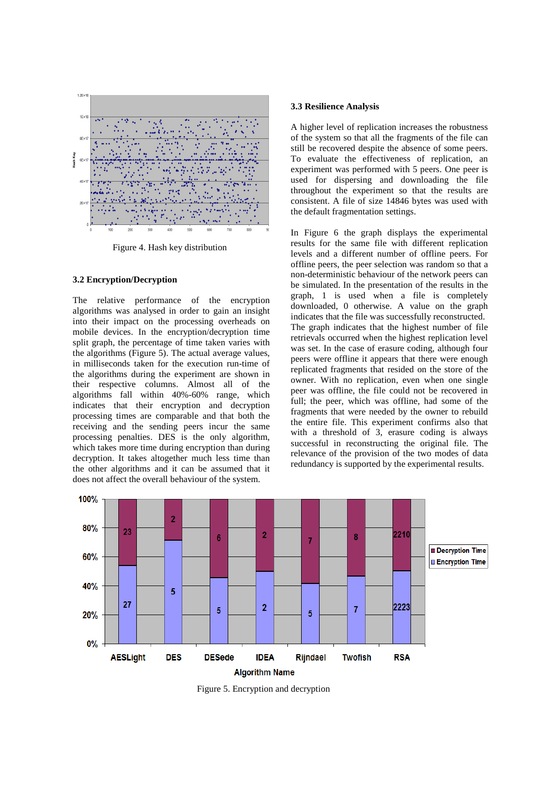

Figure 4. Hash key distribution

#### **3.2 Encryption/Decryption**

The relative performance of the encryption algorithms was analysed in order to gain an insight into their impact on the processing overheads on mobile devices. In the encryption/decryption time split graph, the percentage of time taken varies with the algorithms (Figure 5). The actual average values, in milliseconds taken for the execution run-time of the algorithms during the experiment are shown in their respective columns. Almost all of the algorithms fall within 40%-60% range, which indicates that their encryption and decryption processing times are comparable and that both the receiving and the sending peers incur the same processing penalties. DES is the only algorithm, which takes more time during encryption than during decryption. It takes altogether much less time than the other algorithms and it can be assumed that it does not affect the overall behaviour of the system.

#### **3.3 Resilience Analysis**

A higher level of replication increases the robustness of the system so that all the fragments of the file can still be recovered despite the absence of some peers. To evaluate the effectiveness of replication, an experiment was performed with 5 peers. One peer is used for dispersing and downloading the file throughout the experiment so that the results are consistent. A file of size 14846 bytes was used with the default fragmentation settings.

In Figure 6 the graph displays the experimental results for the same file with different replication levels and a different number of offline peers. For offline peers, the peer selection was random so that a non-deterministic behaviour of the network peers can be simulated. In the presentation of the results in the graph, 1 is used when a file is completely downloaded, 0 otherwise. A value on the graph indicates that the file was successfully reconstructed. The graph indicates that the highest number of file retrievals occurred when the highest replication level was set. In the case of erasure coding, although four peers were offline it appears that there were enough replicated fragments that resided on the store of the owner. With no replication, even when one single peer was offline, the file could not be recovered in full; the peer, which was offline, had some of the fragments that were needed by the owner to rebuild the entire file. This experiment confirms also that with a threshold of 3, erasure coding is always successful in reconstructing the original file. The relevance of the provision of the two modes of data redundancy is supported by the experimental results.



Figure 5. Encryption and decryption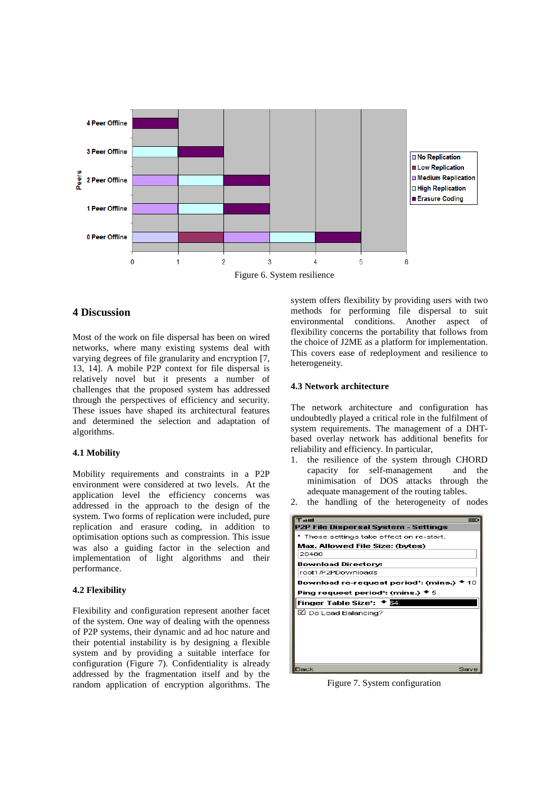

# **4 Discussion**

Most of the work on file dispersal has been on wired networks, where many existing systems deal with varying degrees of file granularity and encryption [7, 13, 14]. A mobile P2P context for file dispersal is relatively novel but it presents a number of challenges that the proposed system has addressed through the perspectives of efficiency and security. These issues have shaped its architectural features and determined the selection and adaptation of algorithms.

### **4.1 Mobility**

Mobility requirements and constraints in a P2P environment were considered at two levels. At the application level the efficiency concerns was addressed in the approach to the design of the system. Two forms of replication were included, pure replication and erasure coding, in addition to optimisation options such as compression. This issue was also a guiding factor in the selection and implementation of light algorithms and their performance.

#### **4.2 Flexibility**

Flexibility and configuration represent another facet of the system. One way of dealing with the openness of P2P systems, their dynamic and ad hoc nature and their potential instability is by designing a flexible system and by providing a suitable interface for configuration (Figure 7). Confidentiality is already addressed by the fragmentation itself and by the random application of encryption algorithms. The

system offers flexibility by providing users with two methods for performing file dispersal to suit environmental conditions. Another aspect of flexibility concerns the portability that follows from the choice of J2ME as a platform for implementation. This covers ease of redeployment and resilience to heterogeneity.

### **4.3 Network architecture**

The network architecture and configuration has undoubtedly played a critical role in the fulfilment of system requirements. The management of a DHTbased overlay network has additional benefits for reliability and efficiency. In particular,

- 1. the resilience of the system through CHORD capacity for self-management and the minimisation of DOS attacks through the adequate management of the routing tables.
- 2. the handling of the heterogeneity of nodes



Figure 7. System configuration